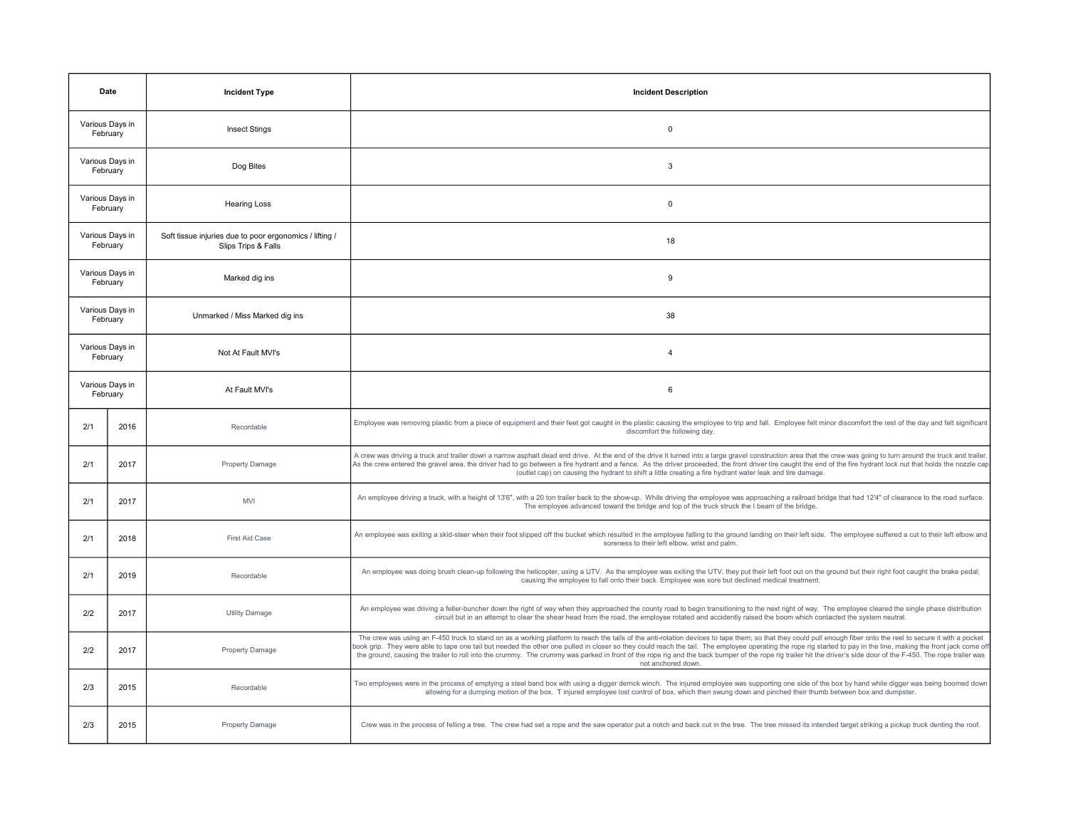| Date                        |      | <b>Incident Type</b>                                                           | <b>Incident Description</b>                                                                                                                                                                                                                                                                                                                                                                                                                                                                                                                                                                                                                                                    |
|-----------------------------|------|--------------------------------------------------------------------------------|--------------------------------------------------------------------------------------------------------------------------------------------------------------------------------------------------------------------------------------------------------------------------------------------------------------------------------------------------------------------------------------------------------------------------------------------------------------------------------------------------------------------------------------------------------------------------------------------------------------------------------------------------------------------------------|
| Various Days in<br>February |      | <b>Insect Stings</b>                                                           | $\mathsf 0$                                                                                                                                                                                                                                                                                                                                                                                                                                                                                                                                                                                                                                                                    |
| Various Days in<br>February |      | Dog Bites                                                                      | 3                                                                                                                                                                                                                                                                                                                                                                                                                                                                                                                                                                                                                                                                              |
| Various Days in<br>February |      | <b>Hearing Loss</b>                                                            | $\mathbf 0$                                                                                                                                                                                                                                                                                                                                                                                                                                                                                                                                                                                                                                                                    |
| Various Days in<br>February |      | Soft tissue injuries due to poor ergonomics / lifting /<br>Slips Trips & Falls | 18                                                                                                                                                                                                                                                                                                                                                                                                                                                                                                                                                                                                                                                                             |
| Various Days in<br>February |      | Marked dig ins                                                                 | 9                                                                                                                                                                                                                                                                                                                                                                                                                                                                                                                                                                                                                                                                              |
| Various Days in<br>February |      | Unmarked / Miss Marked dig ins                                                 | 38                                                                                                                                                                                                                                                                                                                                                                                                                                                                                                                                                                                                                                                                             |
| Various Days in<br>February |      | Not At Fault MVI's                                                             | $\overline{4}$                                                                                                                                                                                                                                                                                                                                                                                                                                                                                                                                                                                                                                                                 |
| Various Days in<br>February |      | At Fault MVI's                                                                 | 6                                                                                                                                                                                                                                                                                                                                                                                                                                                                                                                                                                                                                                                                              |
| 2/1                         | 2016 | Recordable                                                                     | Employee was removing plastic from a piece of equipment and their feet got caught in the plastic causing the employee to trip and fall. Employee felt minor discomfort the rest of the day and felt significant<br>discomfort the following day.                                                                                                                                                                                                                                                                                                                                                                                                                               |
| 2/1                         | 2017 | <b>Property Damage</b>                                                         | A crew was driving a truck and trailer down a narrow asphalt dead end drive. At the end of the drive it turned into a large gravel construction area that the crew was going to turn around the truck and trailer.<br>As the crew entered the gravel area, the driver had to go between a fire hydrant and a fence. As the driver proceeded, the front driver tire caught the end of the fire hydrant lock nut that holds the nozzle cap<br>(outlet cap) on causing the hydrant to shift a little creating a fire hydrant water leak and tire damage.                                                                                                                          |
| 2/1                         | 2017 | <b>MVI</b>                                                                     | An employee driving a truck, with a height of 13'6", with a 20 ton trailer back to the show-up. While driving the employee was approaching a railroad bridge that had 12'4" of clearance to the road surface.<br>The employee advanced toward the bridge and top of the truck struck the I beam of the bridge.                                                                                                                                                                                                                                                                                                                                                                 |
| 2/1                         | 2018 | First Aid Case                                                                 | An employee was exiting a skid-steer when their foot slipped off the bucket which resulted in the employee falling to the ground landing on their left side. The employee suffered a cut to their left elbow and<br>soreness to their left elbow, wrist and palm                                                                                                                                                                                                                                                                                                                                                                                                               |
| 2/1                         | 2019 | Recordable                                                                     | An employee was doing brush clean-up following the helicopter, using a UTV. As the employee was exiting the UTV, they put their left foot out on the ground but their right foot caught the brake pedal;<br>causing the employee to fall onto their back. Employee was sore but declined medical treatment.                                                                                                                                                                                                                                                                                                                                                                    |
| 2/2                         | 2017 | <b>Utility Damage</b>                                                          | An employee was driving a feller-buncher down the right of way when they approached the county road to begin transitioning to the next right of way. The employee cleared the single phase distribution<br>circuit but in an attempt to clear the shear head from the road, the employee rotated and accidently raised the boom which contacted the system neutral.                                                                                                                                                                                                                                                                                                            |
| 2/2                         | 2017 | <b>Property Damage</b>                                                         | The crew was using an F-450 truck to stand on as a working platform to reach the tails of the anti-rotation devices to tape them; so that they could pull enough fiber onto the reel to secure it with a pocket<br>oook grip. They were able to tape one tail but needed the other one pulled in closer so they could reach the tail. The employee operating the rope rig started to pay in the line, making the front jack come of<br>the ground, causing the trailer to roll into the crummy. The crummy was parked in front of the rope rig and the back bumper of the rope rig trailer hit the driver's side door of the F-450. The rope trailer was<br>not anchored down. |
| 2/3                         | 2015 | Recordable                                                                     | Two employees were in the process of emptying a steel band box with using a digger derrick winch. The injured employee was supporting one side of the box by hand while digger was being boomed down<br>allowing for a dumping motion of the box. T injured employee lost control of box, which then swung down and pinched their thumb between box and dumpster.                                                                                                                                                                                                                                                                                                              |
| 2/3                         | 2015 | <b>Property Damage</b>                                                         | Crew was in the process of felling a tree. The crew had set a rope and the saw operator put a notch and back cut in the tree. The tree missed its intended target striking a pickup truck denting the roof.                                                                                                                                                                                                                                                                                                                                                                                                                                                                    |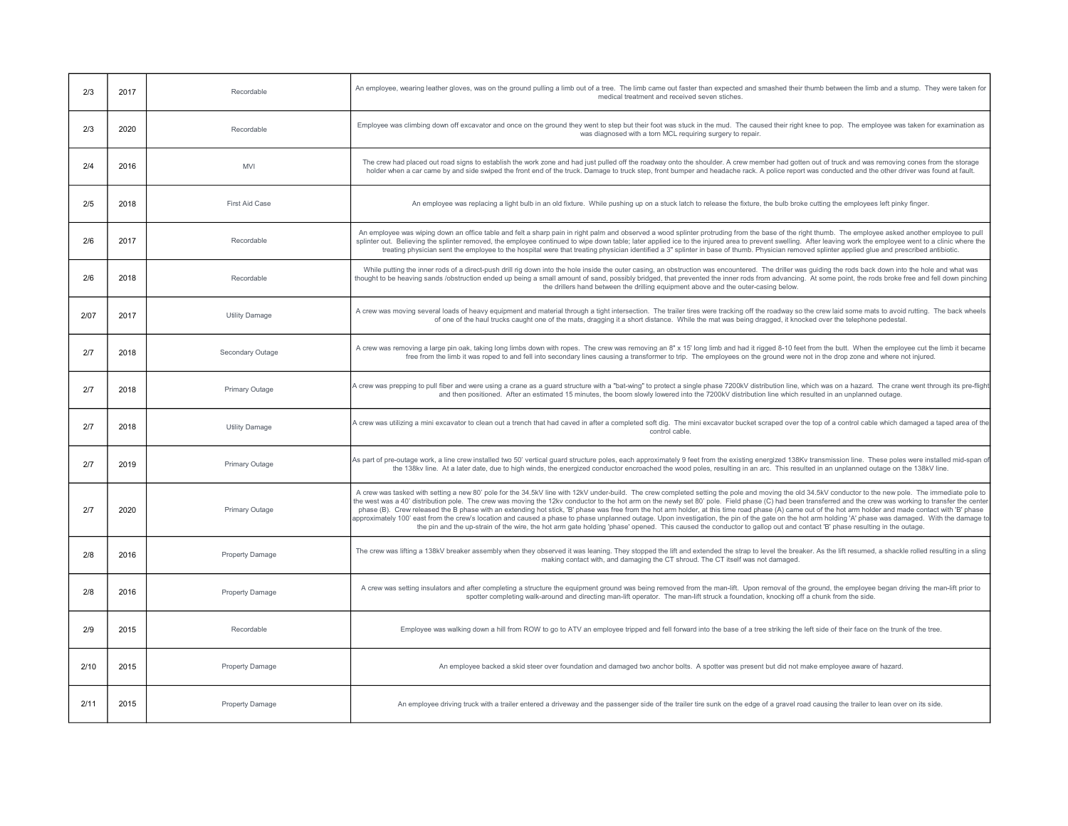| 2/3  | 2017 | Recordable             | An employee, wearing leather gloves, was on the ground pulling a limb out of a tree. The limb came out faster than expected and smashed their thumb between the limb and a stump. They were taken for<br>medical treatment and received seven stiches.                                                                                                                                                                                                                                                                                                                                                                                                                                                                                                                                                                                                                                                                                                                                                                  |
|------|------|------------------------|-------------------------------------------------------------------------------------------------------------------------------------------------------------------------------------------------------------------------------------------------------------------------------------------------------------------------------------------------------------------------------------------------------------------------------------------------------------------------------------------------------------------------------------------------------------------------------------------------------------------------------------------------------------------------------------------------------------------------------------------------------------------------------------------------------------------------------------------------------------------------------------------------------------------------------------------------------------------------------------------------------------------------|
| 2/3  | 2020 | Recordable             | Employee was climbing down off excavator and once on the ground they went to step but their foot was stuck in the mud. The caused their right knee to pop. The employee was taken for examination as<br>was diagnosed with a torn MCL requiring surgery to repair.                                                                                                                                                                                                                                                                                                                                                                                                                                                                                                                                                                                                                                                                                                                                                      |
| 2/4  | 2016 | <b>MVI</b>             | The crew had placed out road signs to establish the work zone and had just pulled off the roadway onto the shoulder. A crew member had gotten out of truck and was removing cones from the storage<br>holder when a car came by and side swiped the front end of the truck. Damage to truck step, front bumper and headache rack. A police report was conducted and the other driver was found at fault.                                                                                                                                                                                                                                                                                                                                                                                                                                                                                                                                                                                                                |
| 2/5  | 2018 | First Aid Case         | An employee was replacing a light bulb in an old fixture. While pushing up on a stuck latch to release the fixture, the bulb broke cutting the employees left pinky finger.                                                                                                                                                                                                                                                                                                                                                                                                                                                                                                                                                                                                                                                                                                                                                                                                                                             |
| 2/6  | 2017 | Recordable             | An employee was wiping down an office table and felt a sharp pain in right palm and observed a wood splinter protruding from the base of the right thumb. The employee asked another employee to pull<br>splinter out. Believing the splinter removed, the employee continued to wipe down table; later applied ice to the injured area to prevent swelling. After leaving work the employee went to a clinic where the<br>treating physician sent the employee to the hospital were that treating physician identified a 3" splinter in base of thumb. Physician removed splinter applied glue and prescribed antibiotic.                                                                                                                                                                                                                                                                                                                                                                                              |
| 2/6  | 2018 | Recordable             | While putting the inner rods of a direct-push drill rig down into the hole inside the outer casing, an obstruction was encountered. The driller was guiding the rods back down into the hole and what was<br>thought to be heaving sands /obstruction ended up being a small amount of sand, possibly bridged, that prevented the inner rods from advancing. At some point, the rods broke free and fell down pinching<br>the drillers hand between the drilling equipment above and the outer-casing below.                                                                                                                                                                                                                                                                                                                                                                                                                                                                                                            |
| 2/07 | 2017 | <b>Utility Damage</b>  | A crew was moving several loads of heavy equipment and material through a tight intersection. The trailer tires were tracking off the roadway so the crew laid some mats to avoid rutting. The back wheels<br>of one of the haul trucks caught one of the mats, dragging it a short distance. While the mat was being dragged, it knocked over the telephone pedestal.                                                                                                                                                                                                                                                                                                                                                                                                                                                                                                                                                                                                                                                  |
| 2/7  | 2018 | Secondary Outage       | A crew was removing a large pin oak, taking long limbs down with ropes. The crew was removing an 8" x 15' long limb and had it rigged 8-10 feet from the butt. When the employee cut the limb it became<br>free from the limb it was roped to and fell into secondary lines causing a transformer to trip. The employees on the ground were not in the drop zone and where not injured.                                                                                                                                                                                                                                                                                                                                                                                                                                                                                                                                                                                                                                 |
| 2/7  | 2018 | Primary Outage         | A crew was prepping to pull fiber and were using a crane as a guard structure with a "bat-wing" to protect a single phase 7200kV distribution line, which was on a hazard. The crane went through its pre-flight<br>and then positioned. After an estimated 15 minutes, the boom slowly lowered into the 7200kV distribution line which resulted in an unplanned outage.                                                                                                                                                                                                                                                                                                                                                                                                                                                                                                                                                                                                                                                |
| 2/7  | 2018 | <b>Utility Damage</b>  | A crew was utilizing a mini excavator to clean out a trench that had caved in after a completed soft dig. The mini excavator bucket scraped over the top of a control cable which damaged a taped area of the<br>control cable.                                                                                                                                                                                                                                                                                                                                                                                                                                                                                                                                                                                                                                                                                                                                                                                         |
| 2/7  | 2019 | Primary Outage         | As part of pre-outage work, a line crew installed two 50' vertical guard structure poles, each approximately 9 feet from the existing energized 138Kv transmission line. These poles were installed mid-span ot<br>the 138kv line. At a later date, due to high winds, the energized conductor encroached the wood poles, resulting in an arc. This resulted in an unplanned outage on the 138kV line.                                                                                                                                                                                                                                                                                                                                                                                                                                                                                                                                                                                                                  |
| 2/7  | 2020 | Primary Outage         | A crew was tasked with setting a new 80' pole for the 34.5kV line with 12kV under-build. The crew completed setting the pole and moving the old 34.5kV conductor to the new pole. The immediate pole to<br>the west was a 40' distribution pole. The crew was moving the 12kv conductor to the hot arm on the newly set 80' pole. Field phase (C) had been transferred and the crew was working to transfer the center<br>phase (B). Crew released the B phase with an extending hot stick, 'B' phase was free from the hot arm holder, at this time road phase (A) came out of the hot arm holder and made contact with 'B' phase<br>approximately 100' east from the crew's location and caused a phase to phase unplanned outage. Upon investigation, the pin of the gate on the hot arm holding 'A' phase was damaged. With the damage to<br>the pin and the up-strain of the wire, the hot arm gate holding 'phase' opened. This caused the conductor to gallop out and contact 'B' phase resulting in the outage. |
| 2/8  | 2016 | Property Damage        | The crew was lifting a 138kV breaker assembly when they observed it was leaning. They stopped the lift and extended the strap to level the breaker. As the lift resumed, a shackle rolled resulting in a sling<br>making contact with, and damaging the CT shroud. The CT itself was not damaged.                                                                                                                                                                                                                                                                                                                                                                                                                                                                                                                                                                                                                                                                                                                       |
| 2/8  | 2016 | Property Damage        | A crew was setting insulators and after completing a structure the equipment ground was being removed from the man-lift. Upon removal of the ground, the employee began driving the man-lift prior to<br>spotter completing walk-around and directing man-lift operator. The man-lift struck a foundation, knocking off a chunk from the side.                                                                                                                                                                                                                                                                                                                                                                                                                                                                                                                                                                                                                                                                          |
| 2/9  | 2015 | Recordable             | Employee was walking down a hill from ROW to go to ATV an employee tripped and fell forward into the base of a tree striking the left side of their face on the trunk of the tree.                                                                                                                                                                                                                                                                                                                                                                                                                                                                                                                                                                                                                                                                                                                                                                                                                                      |
| 2/10 | 2015 | <b>Property Damage</b> | An employee backed a skid steer over foundation and damaged two anchor bolts. A spotter was present but did not make employee aware of hazard.                                                                                                                                                                                                                                                                                                                                                                                                                                                                                                                                                                                                                                                                                                                                                                                                                                                                          |
| 2/11 | 2015 | Property Damage        | An employee driving truck with a trailer entered a driveway and the passenger side of the trailer tire sunk on the edge of a gravel road causing the trailer to lean over on its side.                                                                                                                                                                                                                                                                                                                                                                                                                                                                                                                                                                                                                                                                                                                                                                                                                                  |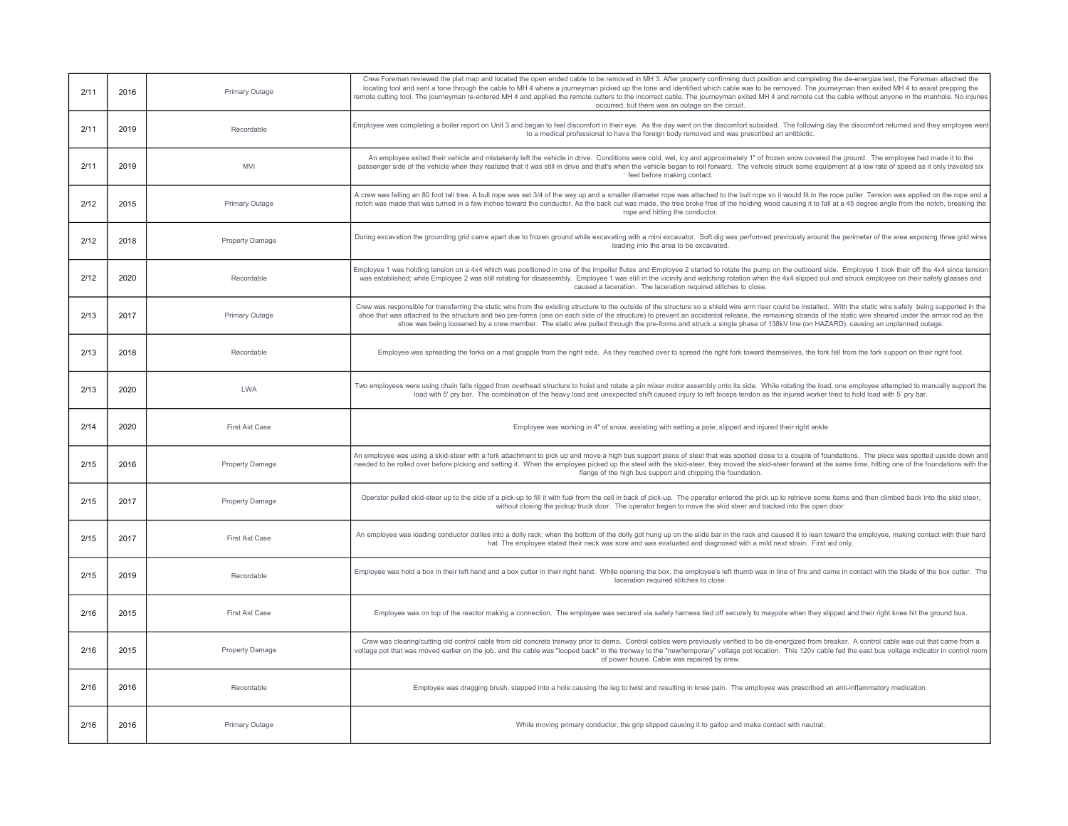| 2/11 | 2016 | Primary Outage         | Crew Foreman reviewed the plat map and located the open ended cable to be removed in MH 3. After properly confirming duct position and completing the de-energize test, the Foreman attached the<br>locating tool and sent a tone through the cable to MH 4 where a journeyman picked up the tone and identified which cable was to be removed. The journeyman then exited MH 4 to assist prepping the<br>remote cutting tool. The journeyman re-entered MH 4 and applied the remote cutters to the incorrect cable. The journeyman exited MH 4 and remote cut the cable without anyone in the manhole. No injuries<br>occurred, but there was an outage on the circuit. |
|------|------|------------------------|--------------------------------------------------------------------------------------------------------------------------------------------------------------------------------------------------------------------------------------------------------------------------------------------------------------------------------------------------------------------------------------------------------------------------------------------------------------------------------------------------------------------------------------------------------------------------------------------------------------------------------------------------------------------------|
| 2/11 | 2019 | Recordable             | Employee was completing a boiler report on Unit 3 and began to feel discomfort in their eye. As the day went on the discomfort subsided. The following day the discomfort returned and they employee went<br>to a medical professional to have the foreign body removed and was prescribed an antibiotic.                                                                                                                                                                                                                                                                                                                                                                |
| 2/11 | 2019 | <b>MVI</b>             | An employee exited their vehicle and mistakenly left the vehicle in drive. Conditions were cold, wet, icy and approximately 1" of frozen snow covered the ground. The employee had made it to the<br>passenger side of the vehicle when they realized that it was still in drive and that's when the vehicle began to roll forward. The vehicle struck some equipment at a low rate of speed as it only traveled six<br>feet before making contact.                                                                                                                                                                                                                      |
| 2/12 | 2015 | Primary Outage         | A crew was felling an 80 foot tall tree. A bull rope was set 3/4 of the way up and a smaller diameter rope was attached to the bull rope so it would fit in the rope puller. Tension was applied on the rope and a<br>notch was made that was turned in a few inches toward the conductor. As the back cut was made, the tree broke free of the holding wood causing it to fall at a 45 degree angle from the notch, breaking the<br>rope and hitting the conductor.                                                                                                                                                                                                     |
| 2/12 | 2018 | <b>Property Damage</b> | During excavation the grounding grid came apart due to frozen ground while excavating with a mini excavator. Soft dig was performed previously around the perimeter of the area exposing three grid wires<br>leading into the area to be excavated.                                                                                                                                                                                                                                                                                                                                                                                                                      |
| 2/12 | 2020 | Recordable             | Employee 1 was holding tension on a 4x4 which was positioned in one of the impeller flutes and Employee 2 started to rotate the pump on the outboard side. Employee 1 took their off the 4x4 since tension<br>was established; while Employee 2 was still rotating for disassembly. Employee 1 was still in the vicinity and watching rotation when the 4x4 slipped out and struck employee on their safety glasses and<br>caused a laceration. The laceration required stitches to close.                                                                                                                                                                               |
| 2/13 | 2017 | <b>Primary Outage</b>  | Crew was responsible for transferring the static wire from the existing structure to the outside of the structure so a shield wire arm riser could be installed. With the static wire safely being supported in the<br>shoe that was attached to the structure and two pre-forms (one on each side of the structure) to prevent an accidental release, the remaining strands of the static wire sheared under the armor rod as the<br>shoe was being loosened by a crew member. The static wire pulled through the pre-forms and struck a single phase of 138kV line (on HAZARD), causing an unplanned outage.                                                           |
| 2/13 | 2018 | Recordable             | Employee was spreading the forks on a mat grapple from the right side. As they reached over to spread the right fork toward themselves, the fork fell from the fork support on their right foot.                                                                                                                                                                                                                                                                                                                                                                                                                                                                         |
| 2/13 | 2020 | <b>LWA</b>             | Two employees were using chain falls rigged from overhead structure to hoist and rotate a pin mixer motor assembly onto its side. While rotating the load, one employee attempted to manually support the<br>load with 5' pry bar. The combination of the heavy load and unexpected shift caused injury to left biceps tendon as the injured worker tried to hold load with 5' pry bar.                                                                                                                                                                                                                                                                                  |
| 2/14 | 2020 | First Aid Case         | Employee was working in 4" of snow, assisting with setting a pole; slipped and injured their right ankle                                                                                                                                                                                                                                                                                                                                                                                                                                                                                                                                                                 |
| 2/15 | 2016 | Property Damage        | An employee was using a skid-steer with a fork attachment to pick up and move a high bus support piece of steel that was spotted close to a couple of foundations. The piece was spotted upside down and<br>needed to be rolled over before picking and setting it. When the employee picked up the steel with the skid-steer, they moved the skid-steer forward at the same time, hitting one of the foundations with the<br>flange of the high bus support and chipping the foundation.                                                                                                                                                                                |
| 2/15 | 2017 | Property Damage        | Operator pulled skid-steer up to the side of a pick-up to fill it with fuel from the cell in back of pick-up. The operator entered the pick up to retrieve some items and then climbed back into the skid steer,<br>without closing the pickup truck door. The operator began to move the skid steer and backed into the open door.                                                                                                                                                                                                                                                                                                                                      |
| 2/15 | 2017 | First Aid Case         | An employee was loading conductor dollies into a dolly rack; when the bottom of the dolly got hung up on the slide bar in the rack and caused it to lean toward the employee, making contact with their hard<br>hat. The employee stated their neck was sore and was evaluated and diagnosed with a mild next strain. First aid only.                                                                                                                                                                                                                                                                                                                                    |
| 2/15 | 2019 | Recordable             | Employee was hold a box in their left hand and a box cutter in their right hand. While opening the box, the employee's left thumb was in line of fire and came in contact with the blade of the box cutter. The<br>laceration required stitches to close                                                                                                                                                                                                                                                                                                                                                                                                                 |
| 2/16 | 2015 | First Aid Case         | Employee was on top of the reactor making a connection. The employee was secured via safety harness tied off securely to maypole when they slipped and their right knee hit the ground bus.                                                                                                                                                                                                                                                                                                                                                                                                                                                                              |
| 2/16 | 2015 | Property Damage        | Crew was clearing/cutting old control cable from old concrete trenway prior to demo. Control cables were previously verified to be de-energized from breaker. A control cable was cut that came from a<br>voltage pot that was moved earlier on the job, and the cable was "looped back" in the trenway to the "new/temporary" voltage pot location. This 120v cable fed the east bus voltage indicator in control room<br>of power house. Cable was repaired by crew.                                                                                                                                                                                                   |
| 2/16 | 2016 | Recordable             | Employee was dragging brush, stepped into a hole causing the leg to twist and resulting in knee pain. The employee was prescribed an anti-inflammatory medication.                                                                                                                                                                                                                                                                                                                                                                                                                                                                                                       |
| 2/16 | 2016 | Primary Outage         | While moving primary conductor, the grip slipped causing it to gallop and make contact with neutral.                                                                                                                                                                                                                                                                                                                                                                                                                                                                                                                                                                     |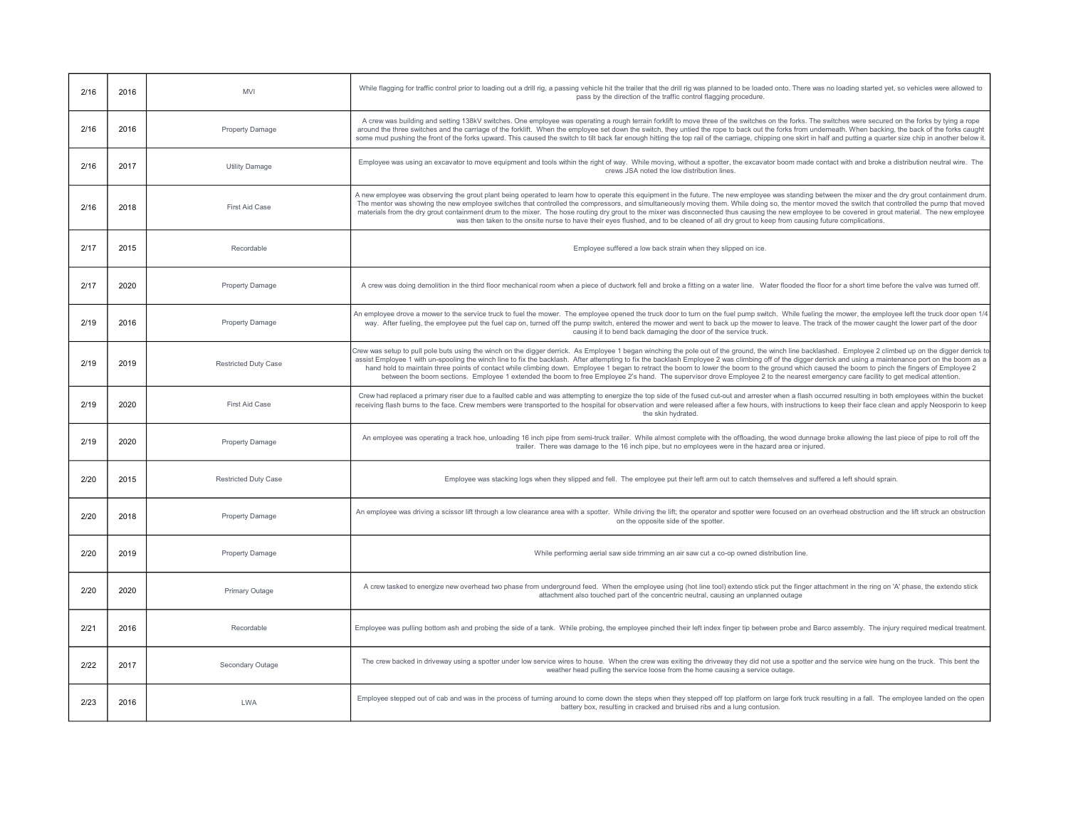| 2/16 | 2016 | <b>MVI</b>                  | While flagging for traffic control prior to loading out a drill rig, a passing vehicle hit the trailer that the drill rig was planned to be loaded onto. There was no loading started yet, so vehicles were allowed to<br>pass by the direction of the traffic control flagging procedure.                                                                                                                                                                                                                                                                                                                                                                                                                                                                                                                          |
|------|------|-----------------------------|---------------------------------------------------------------------------------------------------------------------------------------------------------------------------------------------------------------------------------------------------------------------------------------------------------------------------------------------------------------------------------------------------------------------------------------------------------------------------------------------------------------------------------------------------------------------------------------------------------------------------------------------------------------------------------------------------------------------------------------------------------------------------------------------------------------------|
| 2/16 | 2016 | <b>Property Damage</b>      | A crew was building and setting 138kV switches. One employee was operating a rough terrain forklift to move three of the switches on the forks. The switches were secured on the forks by tying a rope<br>around the three switches and the carriage of the forklift. When the employee set down the switch, they untied the rope to back out the forks from underneath. When backing, the back of the forks caught<br>some mud pushing the front of the forks upward. This caused the switch to tilt back far enough hitting the top rail of the carriage, chipping one skirt in half and putting a quarter size chip in another below it.                                                                                                                                                                         |
| 2/16 | 2017 | <b>Utility Damage</b>       | Employee was using an excavator to move equipment and tools within the right of way. While moving, without a spotter, the excavator boom made contact with and broke a distribution neutral wire. The<br>crews JSA noted the low distribution lines.                                                                                                                                                                                                                                                                                                                                                                                                                                                                                                                                                                |
| 2/16 | 2018 | First Aid Case              | A new employee was observing the grout plant being operated to learn how to operate this equipment in the future. The new employee was standing between the mixer and the dry grout containment drum.<br>The mentor was showing the new employee switches that controlled the compressors, and simultaneously moving them. While doing so, the mentor moved the switch that controlled the pump that moved<br>materials from the dry grout containment drum to the mixer. The hose routing dry grout to the mixer was disconnected thus causing the new employee to be covered in grout material. The new employee<br>was then taken to the onsite nurse to have their eyes flushed, and to be cleaned of all dry grout to keep from causing future complications.                                                  |
| 2/17 | 2015 | Recordable                  | Employee suffered a low back strain when they slipped on ice.                                                                                                                                                                                                                                                                                                                                                                                                                                                                                                                                                                                                                                                                                                                                                       |
| 2/17 | 2020 | Property Damage             | A crew was doing demolition in the third floor mechanical room when a piece of ductwork fell and broke a fitting on a water line. Water flooded the floor for a short time before the valve was turned off.                                                                                                                                                                                                                                                                                                                                                                                                                                                                                                                                                                                                         |
| 2/19 | 2016 | Property Damage             | An employee drove a mower to the service truck to fuel the mower. The employee opened the truck door to turn on the fuel pump switch. While fueling the mower, the employee left the truck door open 1/<br>way. After fueling, the employee put the fuel cap on, turned off the pump switch, entered the mower and went to back up the mower to leave. The track of the mower caught the lower part of the door<br>causing it to bend back damaging the door of the service truck.                                                                                                                                                                                                                                                                                                                                  |
| 2/19 | 2019 | <b>Restricted Duty Case</b> | Crew was setup to pull pole buts using the winch on the digger derrick. As Employee 1 began winching the pole out of the ground, the winch line backlashed. Employee 2 climbed up on the digger derrick t<br>assist Employee 1 with un-spooling the winch line to fix the backlash. After attempting to fix the backlash Employee 2 was climbing off of the digger derrick and using a maintenance port on the boom as a<br>hand hold to maintain three points of contact while climbing down. Employee 1 began to retract the boom to lower the boom to the ground which caused the boom to pinch the fingers of Employee 2<br>between the boom sections. Employee 1 extended the boom to free Employee 2's hand. The supervisor drove Employee 2 to the nearest emergency care facility to get medical attention. |
| 2/19 | 2020 | First Aid Case              | Crew had replaced a primary riser due to a faulted cable and was attempting to energize the top side of the fused cut-out and arrester when a flash occurred resulting in both employees within the bucket<br>receiving flash burns to the face. Crew members were transported to the hospital for observation and were released after a few hours, with instructions to keep their face clean and apply Neosporin to keep<br>the skin hydrated                                                                                                                                                                                                                                                                                                                                                                     |
| 2/19 | 2020 | Property Damage             | An employee was operating a track hoe, unloading 16 inch pipe from semi-truck trailer. While almost complete with the offloading, the wood dunnage broke allowing the last piece of pipe to roll off the<br>trailer. There was damage to the 16 inch pipe, but no employees were in the hazard area or injured.                                                                                                                                                                                                                                                                                                                                                                                                                                                                                                     |
| 2/20 | 2015 | <b>Restricted Duty Case</b> | Employee was stacking logs when they slipped and fell. The employee put their left arm out to catch themselves and suffered a left should sprain.                                                                                                                                                                                                                                                                                                                                                                                                                                                                                                                                                                                                                                                                   |
| 2/20 | 2018 | Property Damage             | An employee was driving a scissor lift through a low clearance area with a spotter. While driving the lift; the operator and spotter were focused on an overhead obstruction and the lift struck an obstruction<br>on the opposite side of the spotter.                                                                                                                                                                                                                                                                                                                                                                                                                                                                                                                                                             |
| 2/20 | 2019 | Property Damage             | While performing aerial saw side trimming an air saw cut a co-op owned distribution line.                                                                                                                                                                                                                                                                                                                                                                                                                                                                                                                                                                                                                                                                                                                           |
| 2/20 | 2020 | Primary Outage              | A crew tasked to energize new overhead two phase from underground feed. When the employee using (hot line tool) extendo stick put the finger attachment in the ring on 'A' phase, the extendo stick<br>attachment also touched part of the concentric neutral, causing an unplanned outage                                                                                                                                                                                                                                                                                                                                                                                                                                                                                                                          |
| 2/21 | 2016 | Recordable                  | Employee was pulling bottom ash and probing the side of a tank. While probing, the employee pinched their left index finger tip between probe and Barco assembly. The injury required medical treatment.                                                                                                                                                                                                                                                                                                                                                                                                                                                                                                                                                                                                            |
| 2/22 | 2017 | Secondary Outage            | The crew backed in driveway using a spotter under low service wires to house. When the crew was exiting the driveway they did not use a spotter and the service wire hung on the truck. This bent the<br>weather head pulling the service loose from the home causing a service outage.                                                                                                                                                                                                                                                                                                                                                                                                                                                                                                                             |
| 2/23 | 2016 | <b>LWA</b>                  | Employee stepped out of cab and was in the process of turning around to come down the steps when they stepped off top platform on large fork truck resulting in a fall. The employee landed on the open<br>battery box, resulting in cracked and bruised ribs and a lung contusion.                                                                                                                                                                                                                                                                                                                                                                                                                                                                                                                                 |